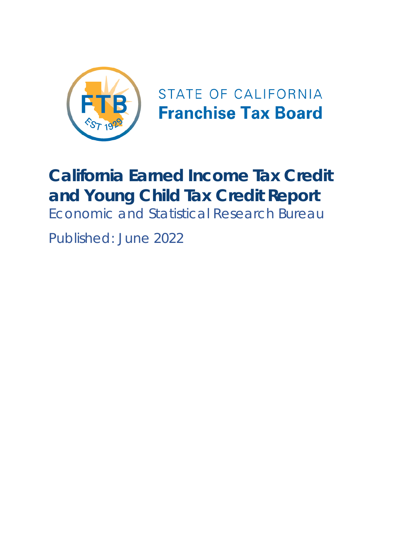

STATE OF CALIFORNIA **Franchise Tax Board** 

# **California Earned Income Tax Credit and Young Child Tax Credit Report** Economic and Statistical Research Bureau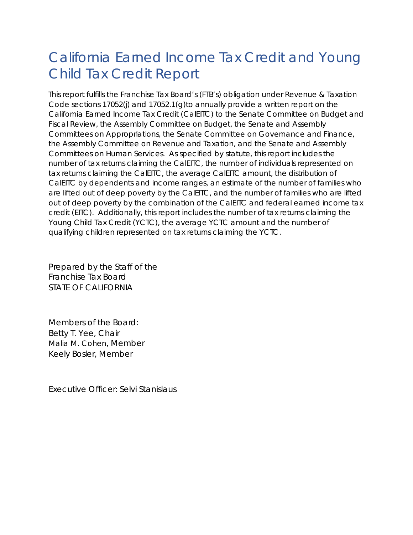## California Earned Income Tax Credit and Young Child Tax Credit Report

This report fulfills the Franchise Tax Board's (FTB's) obligation under Revenue & Taxation Code sections 17052(j) and 17052.1(g)to annually provide a written report on the California Earned Income Tax Credit (CalEITC) to the Senate Committee on Budget and Fiscal Review, the Assembly Committee on Budget, the Senate and Assembly Committees on Appropriations, the Senate Committee on Governance and Finance, the Assembly Committee on Revenue and Taxation, and the Senate and Assembly Committees on Human Services. As specified by statute, this report includes the number of tax returns claiming the CalEITC, the number of individuals represented on tax returns claiming the CalEITC, the average CalEITC amount, the distribution of CalEITC by dependents and income ranges, an estimate of the number of families who are lifted out of deep poverty by the CalEITC, and the number of families who are lifted out of deep poverty by the combination of the CalEITC and federal earned income tax credit (EITC). Additionally, this report includes the number of tax returns claiming the Young Child Tax Credit (YCTC), the average YCTC amount and the number of qualifying children represented on tax returns claiming the YCTC.

Prepared by the Staff of the Franchise Tax Board STATE OF CALIFORNIA

Members of the Board: Betty T. Yee, Chair Malia M. Cohen, Member Keely Bosler, Member

Executive Officer: Selvi Stanislaus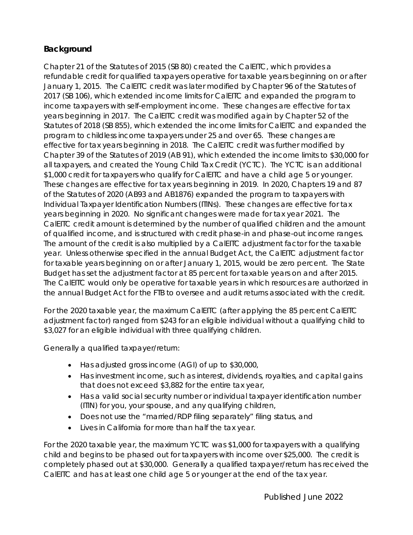#### **Background**

Chapter 21 of the Statutes of 2015 (SB 80) created the CalEITC, which provides a refundable credit for qualified taxpayers operative for taxable years beginning on or after January 1, 2015. The CalEITC credit was later modified by Chapter 96 of the Statutes of 2017 (SB 106), which extended income limits for CalEITC and expanded the program to income taxpayers with self-employment income. These changes are effective for tax years beginning in 2017. The CalEITC credit was modified again by Chapter 52 of the Statutes of 2018 (SB 855), which extended the income limits for CalEITC and expanded the program to childless income taxpayers under 25 and over 65. These changes are effective for tax years beginning in 2018. The CalEITC credit was further modified by Chapter 39 of the Statutes of 2019 (AB 91), which extended the income limits to \$30,000 for all taxpayers, and created the Young Child Tax Credit (YCTC). The YCTC is an additional \$1,000 credit for taxpayers who qualify for CalEITC and have a child age 5 or younger. These changes are effective for tax years beginning in 2019. In 2020, Chapters 19 and 87 of the Statutes of 2020 (AB93 and AB1876) expanded the program to taxpayers with Individual Taxpayer Identification Numbers (ITINs). These changes are effective for tax years beginning in 2020. No significant changes were made for tax year 2021. The CalEITC credit amount is determined by the number of qualified children and the amount of qualified income, and is structured with credit phase-in and phase-out income ranges. The amount of the credit is also multiplied by a CalEITC adjustment factor for the taxable year. Unless otherwise specified in the annual Budget Act, the CalEITC adjustment factor for taxable years beginning on or after January 1, 2015, would be zero percent. The State Budget has set the adjustment factor at 85 percent for taxable years on and after 2015. The CalEITC would only be operative for taxable years in which resources are authorized in the annual Budget Act for the FTB to oversee and audit returns associated with the credit.

For the 2020 taxable year, the maximum CalEITC (after applying the 85 percent CalEITC adjustment factor) ranged from \$243 for an eligible individual without a qualifying child to \$3,027 for an eligible individual with three qualifying children.

Generally a qualified taxpayer/return:

- · Has adjusted gross income (AGI) of up to \$30,000,
- · Has investment income, such as interest, dividends, royalties, and capital gains that does not exceed \$3,882 for the entire tax year,
- · Has a valid social security number or individual taxpayer identification number (ITIN) for you, your spouse, and any qualifying children,
- · Does not use the "married/RDP filing separately" filing status, and
- · Lives in California for more than half the tax year.

For the 2020 taxable year, the maximum YCTC was \$1,000 for taxpayers with a qualifying child and begins to be phased out for taxpayers with income over \$25,000. The credit is completely phased out at \$30,000. Generally a qualified taxpayer/return has received the CalEITC and has at least one child age 5 or younger at the end of the tax year.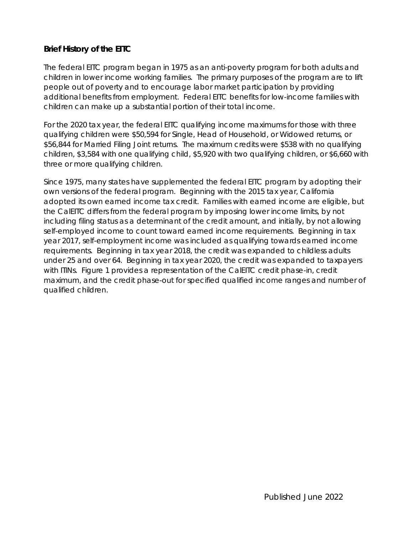#### **Brief History of the EITC**

The federal EITC program began in 1975 as an anti-poverty program for both adults and children in lower income working families. The primary purposes of the program are to lift people out of poverty and to encourage labor market participation by providing additional benefits from employment. Federal EITC benefits for low-income families with children can make up a substantial portion of their total income.

For the 2020 tax year, the federal EITC qualifying income maximums for those with three qualifying children were \$50,594 for Single, Head of Household, or Widowed returns, or \$56,844 for Married Filing Joint returns. The maximum credits were \$538 with no qualifying children, \$3,584 with one qualifying child, \$5,920 with two qualifying children, or \$6,660 with three or more qualifying children.

Since 1975, many states have supplemented the federal EITC program by adopting their own versions of the federal program. Beginning with the 2015 tax year, California adopted its own earned income tax credit. Families with earned income are eligible, but the CalEITC differs from the federal program by imposing lower income limits, by not including filing status as a determinant of the credit amount, and initially, by not allowing self-employed income to count toward earned income requirements. Beginning in tax year 2017, self-employment income was included as qualifying towards earned income requirements. Beginning in tax year 2018, the credit was expanded to childless adults under 25 and over 64. Beginning in tax year 2020, the credit was expanded to taxpayers with ITINs. Figure 1 provides a representation of the CalEITC credit phase-in, credit maximum, and the credit phase-out for specified qualified income ranges and number of qualified children.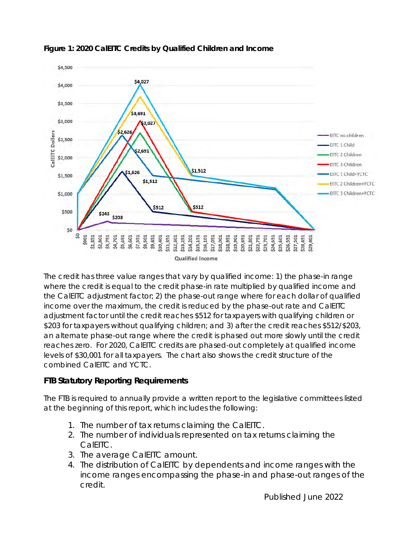

#### **Figure 1: 2020 CalEITC Credits by Qualified Children and Income**

The credit has three value ranges that vary by qualified income: 1) the phase-in range where the credit is equal to the credit phase-in rate multiplied by qualified income and the CalEITC adjustment factor; 2) the phase-out range where for each dollar of qualified income over the maximum, the credit is reduced by the phase-out rate and CalEITC adjustment factor until the credit reaches \$512 for taxpayers with qualifying children or \$203 for taxpayers without qualifying children; and 3) after the credit reaches \$512/\$203, an alternate phase-out range where the credit is phased out more slowly until the credit reaches zero. For 2020, CalEITC credits are phased-out completely at qualified income levels of \$30,001 for all taxpayers. The chart also shows the credit structure of the combined CalEITC and YCTC.

#### **FTB Statutory Reporting Requirements**

The FTB is required to annually provide a written report to the legislative committees listed at the beginning of this report, which includes the following:

- 1. The number of tax returns claiming the CalEITC.
- 2. The number of individuals represented on tax returns claiming the CalEITC.
- 3. The average CalEITC amount.
- 4. The distribution of CalEITC by dependents and income ranges with the income ranges encompassing the phase-in and phase-out ranges of the credit.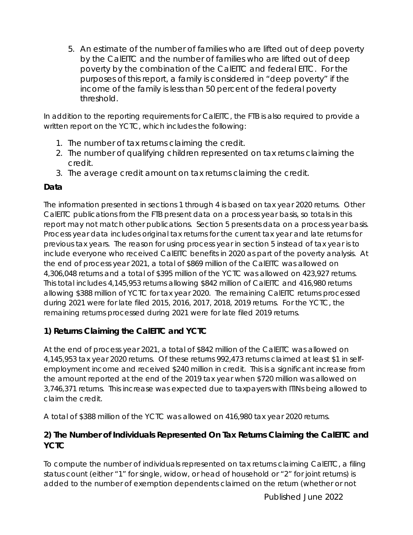5. An estimate of the number of families who are lifted out of deep poverty by the CalEITC and the number of families who are lifted out of deep poverty by the combination of the CalEITC and federal EITC. For the purposes of this report, a family is considered in "deep poverty" if the income of the family is less than 50 percent of the federal poverty threshold.

In addition to the reporting requirements for CalEITC, the FTB is also required to provide a written report on the YCTC, which includes the following:

- 1. The number of tax returns claiming the credit.
- 2. The number of qualifying children represented on tax returns claiming the credit.
- 3. The average credit amount on tax returns claiming the credit.

#### **Data**

The information presented in sections 1 through 4 is based on tax year 2020 returns. Other CalEITC publications from the FTB present data on a process year basis, so totals in this report may not match other publications. Section 5 presents data on a process year basis. Process year data includes original tax returns for the current tax year and late returns for previous tax years. The reason for using process year in section 5 instead of tax year is to include everyone who received CalEITC benefits in 2020 as part of the poverty analysis. At the end of process year 2021, a total of \$869 million of the CalEITC was allowed on 4,306,048 returns and a total of \$395 million of the YCTC was allowed on 423,927 returns. This total includes 4,145,953 returns allowing \$842 million of CalEITC and 416,980 returns allowing \$388 million of YCTC for tax year 2020. The remaining CalEITC returns processed during 2021 were for late filed 2015, 2016, 2017, 2018, 2019 returns. For the YCTC, the remaining returns processed during 2021 were for late filed 2019 returns.

**1) Returns Claiming the CalEITC and YCTC**

At the end of process year 2021, a total of \$842 million of the CalEITC was allowed on 4,145,953 tax year 2020 returns. Of these returns 992,473 returns claimed at least \$1 in selfemployment income and received \$240 million in credit. This is a significant increase from the amount reported at the end of the 2019 tax year when \$720 million was allowed on 3,746,371 returns. This increase was expected due to taxpayers with ITINs being allowed to claim the credit.

A total of \$388 million of the YCTC was allowed on 416,980 tax year 2020 returns.

**2) The Number of Individuals Represented On Tax Returns Claiming the CalEITC and YCTC**

To compute the number of individuals represented on tax returns claiming CalEITC, a filing status count (either "1" for single, widow, or head of household or "2" for joint returns) is added to the number of exemption dependents claimed on the return (whether or not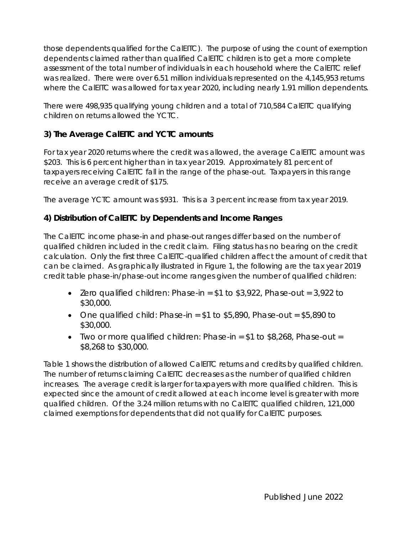those dependents qualified for the CalEITC). The purpose of using the count of exemption dependents claimed rather than qualified CalEITC children is to get a more complete assessment of the total number of individuals in each household where the CalEITC relief was realized. There were over 6.51 million individuals represented on the 4,145,953 returns where the CalEITC was allowed for tax year 2020, including nearly 1.91 million dependents.

There were 498,935 qualifying young children and a total of 710,584 CalEITC qualifying children on returns allowed the YCTC.

#### **3) The Average CalEITC and YCTC amounts**

For tax year 2020 returns where the credit was allowed, the average CalEITC amount was \$203. This is 6 percent higher than in tax year 2019. Approximately 81 percent of taxpayers receiving CalEITC fall in the range of the phase-out. Taxpayers in this range receive an average credit of \$175.

The average YCTC amount was \$931. This is a 3 percent increase from tax year 2019.

#### **4) Distribution of CalEITC by Dependents and Income Ranges**

The CalEITC income phase-in and phase-out ranges differ based on the number of qualified children included in the credit claim. Filing status has no bearing on the credit calculation. Only the first three CalEITC-qualified children affect the amount of credit that can be claimed. As graphically illustrated in Figure 1, the following are the tax year 2019 credit table phase-in/phase-out income ranges given the number of qualified children:

- Zero qualified children: Phase-in =  $$1$  to  $$3,922$ , Phase-out = 3,922 to \$30,000.
- One qualified child: Phase-in =  $$1$  to  $$5,890$ , Phase-out =  $$5,890$  to \$30,000.
- Two or more qualified children: Phase-in  $=$  \$1 to \$8,268, Phase-out  $=$ \$8,268 to \$30,000.

Table 1 shows the distribution of allowed CalEITC returns and credits by qualified children. The number of returns claiming CalEITC decreases as the number of qualified children increases. The average credit is larger for taxpayers with more qualified children. This is expected since the amount of credit allowed at each income level is greater with more qualified children. Of the 3.24 million returns with no CalEITC qualified children, 121,000 claimed exemptions for dependents that did not qualify for CalEITC purposes.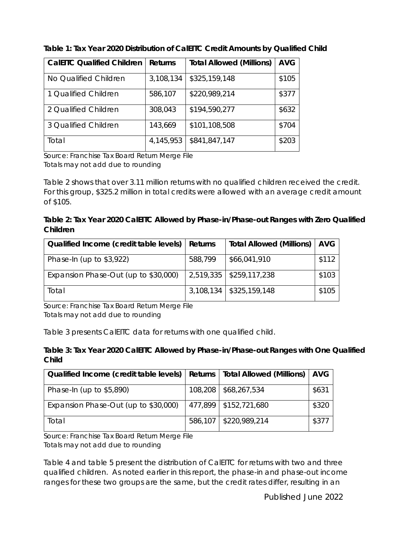| <b>CalEITC Qualified Children</b> | Returns   | <b>Total Allowed (Millions)</b> | <b>AVG</b> |
|-----------------------------------|-----------|---------------------------------|------------|
| No Qualified Children             | 3,108,134 | \$325,159,148                   | \$105      |
| 1 Qualified Children              | 586,107   | \$220,989,214                   | \$377      |
| 2 Qualified Children              | 308,043   | \$194,590,277                   | \$632      |
| 3 Qualified Children              | 143,669   | \$101,108,508                   | \$704      |
| Total                             | 4,145,953 | \$841,847,147                   | \$203      |

**Table 1: Tax Year 2020 Distribution of CalEITC Credit Amounts by Qualified Child**

Source: Franchise Tax Board Return Merge File Totals may not add due to rounding

Table 2 shows that over 3.11 million returns with no qualified children received the credit. For this group, \$325.2 million in total credits were allowed with an average credit amount of \$105.

**Table 2: Tax Year 2020 CalEITC Allowed by Phase-in/Phase-out Ranges with Zero Qualified Children**

| Qualified Income (credit table levels)   Returns |         | Total Allowed (Millions)   AVG |       |
|--------------------------------------------------|---------|--------------------------------|-------|
| Phase-In (up to $$3,922$ )                       | 588,799 | \$66,041,910                   | \$112 |
| Expansion Phase-Out (up to \$30,000)             |         | 2,519,335   \$259,117,238      | \$103 |
| Total                                            |         | $3,108,134$   \$325,159,148    | \$105 |

Source: Franchise Tax Board Return Merge File Totals may not add due to rounding

Table 3 presents CalEITC data for returns with one qualified child.

**Table 3: Tax Year 2020 CalEITC Allowed by Phase-in/Phase-out Ranges with One Qualified Child**

| Qualified Income (credit table levels)   Returns   Total Allowed (Millions)   AVG |         |                         |       |
|-----------------------------------------------------------------------------------|---------|-------------------------|-------|
| Phase-In (up to \$5,890)                                                          | 108,208 | \$68,267,534            | \$631 |
| Expansion Phase-Out (up to \$30,000)                                              |         | 477,899   \$152,721,680 | \$320 |
| Total                                                                             | 586,107 | \$220,989,214           | \$377 |

Source: Franchise Tax Board Return Merge File Totals may not add due to rounding

Table 4 and table 5 present the distribution of CalEITC for returns with two and three qualified children. As noted earlier in this report, the phase-in and phase-out income ranges for these two groups are the same, but the credit rates differ, resulting in an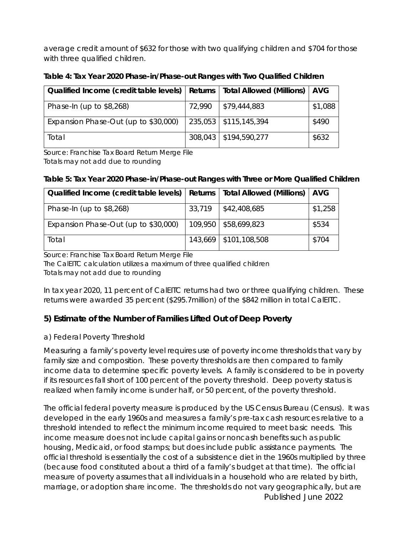average credit amount of \$632 for those with two qualifying children and \$704 for those with three qualified children.

**Table 4: Tax Year 2020 Phase-in/Phase-out Ranges with Two Qualified Children** 

| Qualified Income (credit table levels) |        | Returns   Total Allowed (Millions)   AVG |         |
|----------------------------------------|--------|------------------------------------------|---------|
| Phase-In (up to $$8,268$ )             | 72,990 | $\frac{1}{2}$ \$79,444,883               | \$1,088 |
| Expansion Phase-Out (up to \$30,000)   |        | 235,053   \$115,145,394                  | \$490   |
| Total                                  |        | 308,043   \$194,590,277                  | \$632   |

Source: Franchise Tax Board Return Merge File Totals may not add due to rounding

**Table 5: Tax Year 2020 Phase-in/Phase-out Ranges with Three or More Qualified Children** 

| Qualified Income (credit table levels)   Returns   Total Allowed (Millions)   AVG |        |                            |         |
|-----------------------------------------------------------------------------------|--------|----------------------------|---------|
| Phase-In (up to $$8,268$ )                                                        | 33,719 | $\frac{1}{2}$ \$42,408,685 | \$1,258 |
| Expansion Phase-Out (up to \$30,000)                                              |        | 109,950   \$58,699,823     | \$534   |
| Total                                                                             |        | 143,669   \$101,108,508    | \$704   |

Source: Franchise Tax Board Return Merge File

The CalEITC calculation utilizes a maximum of three qualified children Totals may not add due to rounding

In tax year 2020, 11 percent of CalEITC returns had two or three qualifying children. These returns were awarded 35 percent (\$295.7million) of the \$842 million in total CalEITC.

**5) Estimate of the Number of Families Lifted Out of Deep Poverty**

a) Federal Poverty Threshold

Measuring a family's poverty level requires use of poverty income thresholds that vary by family size and composition. These poverty thresholds are then compared to family income data to determine specific poverty levels. A family is considered to be in poverty if its resources fall short of 100 percent of the poverty threshold. Deep poverty status is realized when family income is under half, or 50 percent, of the poverty threshold.

Published June 2022 The official federal poverty measure is produced by the US Census Bureau (Census). It was developed in the early 1960s and measures a family's pre-tax cash resources relative to a threshold intended to reflect the minimum income required to meet basic needs. This income measure does not include capital gains or noncash benefits such as public housing, Medicaid, or food stamps; but does include public assistance payments. The official threshold is essentially the cost of a subsistence diet in the 1960s multiplied by three (because food constituted about a third of a family's budget at that time). The official measure of poverty assumes that all individuals in a household who are related by birth, marriage, or adoption share income. The thresholds do not vary geographically, but are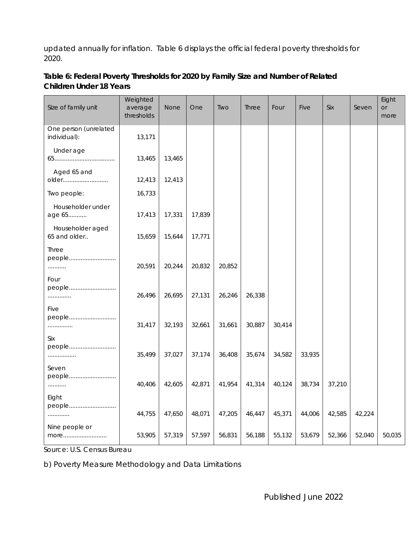updated annually for inflation. Table 6 displays the official federal poverty thresholds for 2020.

Size of family unit **Weighted** average thresholds None | One | Two | Three | Four | Five | Six | Seven Eight or more One person (unrelated individual): 13,171 NA NA NA NA NA NA NA NA NA Under age 65.................................... 13,465 13,465 NA NA NA NA NA NA NA NA Aged 65 and older........................... 12,413 12,413 NA NA NA NA NA NA NA NA Two people:  $\vert$  16,733 Householder under age 65........... 17,413 17,331 17,839 NA NA NA NA NA NA NA Householder aged 65 and older.. 15,659 | 15,644 | 17,771 Three people............................. ........... 20,591 20,244 20,832 20,852 NA NA NA NA NA NA Four people............................ .............. 26,496 26,695 27,131 26,246 26,338 NA NA NA NA NA Five people............................ ................ 31,417 | 32,193 | 32,661 | 31,661 | 30,887 | 30,414 | NA NA NA NA NA NA NA NA NA N Six people............................ ................. 35,499 37,027 37,174 36,408 35,674 34,582 33,935 NA NA NA Seven people............................ ........... 40,406 | 42,605 | 42,871 | 41,954 | 41,314 | 40,124 | 38,734 | 37,210 | NA NA NA NA Eight people............................ ............. 44,755 47,650 48,071 47,205 46,447 45,371 44,006 42,585 42,224 NA

more.......................... 53,905 57,319 57,597 56,831 56,188 55,132 53,679 52,366 52,040 50,035

**Table 6: Federal Poverty Thresholds for 2020 by Family Size and Number of Related Children Under 18 Years**

Source: U.S. Census Bureau

Nine people or

b) Poverty Measure Methodology and Data Limitations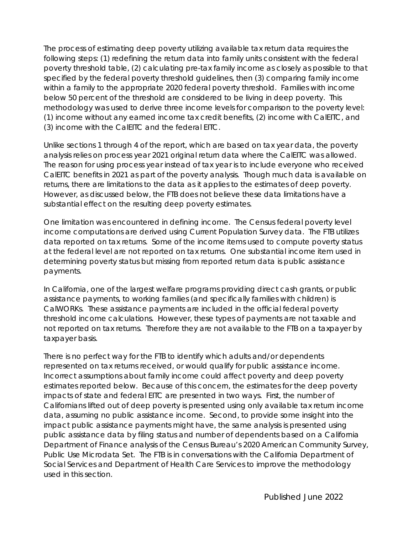The process of estimating deep poverty utilizing available tax return data requires the following steps: (1) redefining the return data into family units consistent with the federal poverty threshold table, (2) calculating pre-tax family income as closely as possible to that specified by the federal poverty threshold guidelines, then (3) comparing family income within a family to the appropriate 2020 federal poverty threshold. Families with income below 50 percent of the threshold are considered to be living in deep poverty. This methodology was used to derive three income levels for comparison to the poverty level: (1) income without any earned income tax credit benefits, (2) income with CalEITC, and (3) income with the CalEITC and the federal EITC.

Unlike sections 1 through 4 of the report, which are based on tax year data, the poverty analysis relies on process year 2021 original return data where the CalEITC was allowed. The reason for using process year instead of tax year is to include everyone who received CalEITC benefits in 2021 as part of the poverty analysis. Though much data is available on returns, there are limitations to the data as it applies to the estimates of deep poverty. However, as discussed below, the FTB does not believe these data limitations have a substantial effect on the resulting deep poverty estimates.

One limitation was encountered in defining income. The Census federal poverty level income computations are derived using Current Population Survey data. The FTB utilizes data reported on tax returns. Some of the income items used to compute poverty status at the federal level are not reported on tax returns. One substantial income item used in determining poverty status but missing from reported return data is public assistance payments.

In California, one of the largest welfare programs providing direct cash grants, or public assistance payments, to working families (and specifically families with children) is CalWORKs. These assistance payments are included in the official federal poverty threshold income calculations. However, these types of payments are not taxable and not reported on tax returns. Therefore they are not available to the FTB on a taxpayer by taxpayer basis.

There is no perfect way for the FTB to identify which adults and/or dependents represented on tax returns received, or would qualify for public assistance income. Incorrect assumptions about family income could affect poverty and deep poverty estimates reported below. Because of this concern, the estimates for the deep poverty impacts of state and federal EITC are presented in two ways. First, the number of Californians lifted out of deep poverty is presented using only available tax return income data, assuming no public assistance income. Second, to provide some insight into the impact public assistance payments might have, the same analysis is presented using public assistance data by filing status and number of dependents based on a California Department of Finance analysis of the Census Bureau's 2020 American Community Survey, Public Use Microdata Set. The FTB is in conversations with the California Department of Social Services and Department of Health Care Services to improve the methodology used in this section.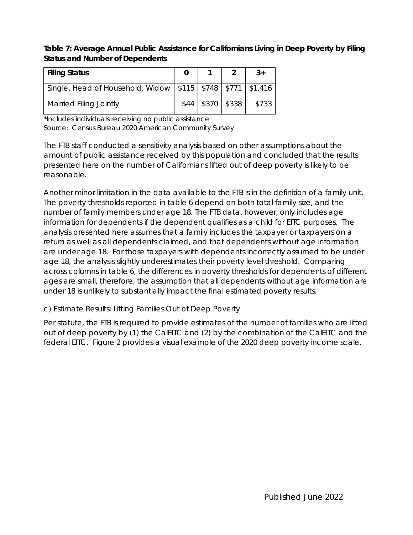**Table 7: Average Annual Public Assistance for Californians Living in Deep Poverty by Filing Status and Number of Dependents**

| Filing Status                                                      |                       |       |
|--------------------------------------------------------------------|-----------------------|-------|
| Single, Head of Household, Widow   \$115   \$748   \$771   \$1,416 |                       |       |
| <b>Married Filing Jointly</b>                                      | $$44$   \$370   \$338 | \$733 |

\*Includes individuals receiving no public assistance Source: Census Bureau 2020 American Community Survey

The FTB staff conducted a sensitivity analysis based on other assumptions about the amount of public assistance received by this population and concluded that the results presented here on the number of Californians lifted out of deep poverty is likely to be reasonable.

Another minor limitation in the data available to the FTB is in the definition of a family unit. The poverty thresholds reported in table 6 depend on both total family size, and the number of family members under age 18. The FTB data, however, only includes age information for dependents if the dependent qualifies as a child for EITC purposes. The analysis presented here assumes that a family includes the taxpayer or taxpayers on a return as well as all dependents claimed, and that dependents without age information are under age 18. For those taxpayers with dependents incorrectly assumed to be under age 18, the analysis slightly underestimates their poverty level threshold. Comparing across columns in table 6, the differences in poverty thresholds for dependents of different ages are small, therefore, the assumption that all dependents without age information are under 18 is unlikely to substantially impact the final estimated poverty results.

c) Estimate Results: Lifting Families Out of Deep Poverty

Per statute, the FTB is required to provide estimates of the number of families who are lifted out of deep poverty by (1) the CalEITC and (2) by the combination of the CalEITC and the federal EITC. Figure 2 provides a visual example of the 2020 deep poverty income scale.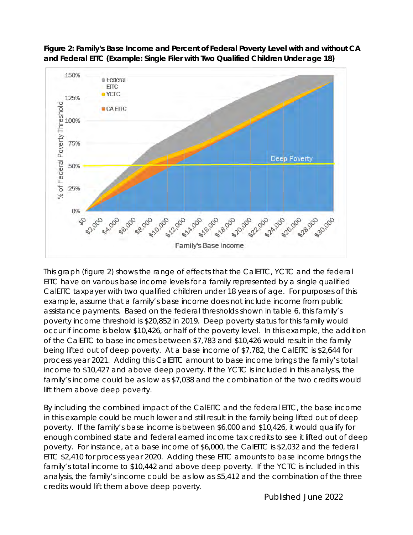

**Figure 2: Family's Base Income and Percent of Federal Poverty Level with and without CA and Federal EITC (Example: Single Filer with Two Qualified Children Under age 18)**

This graph (figure 2) shows the range of effects that the CalEITC, YCTC and the federal EITC have on various base income levels for a family represented by a single qualified CalEITC taxpayer with two qualified children under 18 years of age. For purposes of this example, assume that a family's base income does not include income from public assistance payments. Based on the federal thresholds shown in table 6, this family's poverty income threshold is \$20,852 in 2019. Deep poverty status for this family would occur if income is below \$10,426, or half of the poverty level. In this example, the addition of the CalEITC to base incomes between \$7,783 and \$10,426 would result in the family being lifted out of deep poverty. At a base income of \$7,782, the CalEITC is \$2,644 for process year 2021. Adding this CalEITC amount to base income brings the family's total income to \$10,427 and above deep poverty. If the YCTC is included in this analysis, the family's income could be as low as \$7,038 and the combination of the two credits would lift them above deep poverty.

By including the combined impact of the CalEITC and the federal EITC, the base income in this example could be much lower and still result in the family being lifted out of deep poverty. If the family's base income is between \$6,000 and \$10,426, it would qualify for enough combined state and federal earned income tax credits to see it lifted out of deep poverty. For instance, at a base income of \$6,000, the CalEITC is \$2,032 and the federal EITC \$2,410 for process year 2020. Adding these EITC amounts to base income brings the family's total income to \$10,442 and above deep poverty. If the YCTC is included in this analysis, the family's income could be as low as \$5,412 and the combination of the three credits would lift them above deep poverty.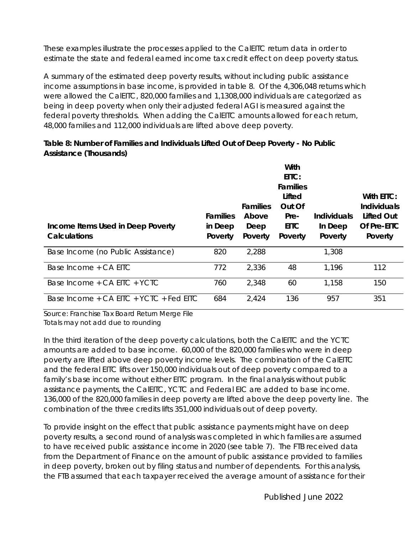These examples illustrate the processes applied to the CalEITC return data in order to estimate the state and federal earned income tax credit effect on deep poverty status.

A summary of the estimated deep poverty results, without including public assistance income assumptions in base income, is provided in table 8. Of the 4,306,048 returns which were allowed the CalEITC, 820,000 families and 1,1308,000 individuals are categorized as being in deep poverty when only their adjusted federal AGI is measured against the federal poverty thresholds. When adding the CalEITC amounts allowed for each return, 48,000 families and 112,000 individuals are lifted above deep poverty.

**Table 8: Number of Families and Individuals Lifted Out of Deep Poverty - No Public Assistance (Thousands)**

|                                             |                 |                 | With<br>$EITC$ :<br>Families |             |             |
|---------------------------------------------|-----------------|-----------------|------------------------------|-------------|-------------|
|                                             |                 |                 | Lifted                       |             | With EITC:  |
|                                             |                 | <b>Families</b> | Out Of                       |             | Individuals |
|                                             | <b>Families</b> | Above           | Pre-                         | Individuals | Lifted Out  |
| Income Items Used in Deep Poverty           | in Deep         | Deep            | <b>EITC</b>                  | In Deep     | Of Pre-EITC |
| Calculations                                | Poverty         | Poverty         | Poverty                      | Poverty     | Poverty     |
| Base Income (no Public Assistance)          | 820             | 2,288           |                              | 1,308       |             |
| Base Income + CA EITC                       | 772             | 2,336           | 48                           | 1,196       | 112         |
| Base Income + CA EITC + YCTC                | 760             | 2,348           | 60                           | 1,158       | 150         |
| Base Income + $CA$ EITC + $YCTC$ + Fed EITC | 684             | 2,424           | 136                          | 957         | 351         |

Source: Franchise Tax Board Return Merge File Totals may not add due to rounding

In the third iteration of the deep poverty calculations, both the CalEITC and the YCTC amounts are added to base income. 60,000 of the 820,000 families who were in deep poverty are lifted above deep poverty income levels. The combination of the CalEITC and the federal EITC lifts over 150,000 individuals out of deep poverty compared to a family's base income without either EITC program. In the final analysis without public assistance payments, the CalEITC, YCTC and Federal EIC are added to base income. 136,000 of the 820,000 families in deep poverty are lifted above the deep poverty line. The combination of the three credits lifts 351,000 individuals out of deep poverty.

To provide insight on the effect that public assistance payments might have on deep poverty results, a second round of analysis was completed in which families are assumed to have received public assistance income in 2020 (see table 7). The FTB received data from the Department of Finance on the amount of public assistance provided to families in deep poverty, broken out by filing status and number of dependents. For this analysis, the FTB assumed that each taxpayer received the average amount of assistance for their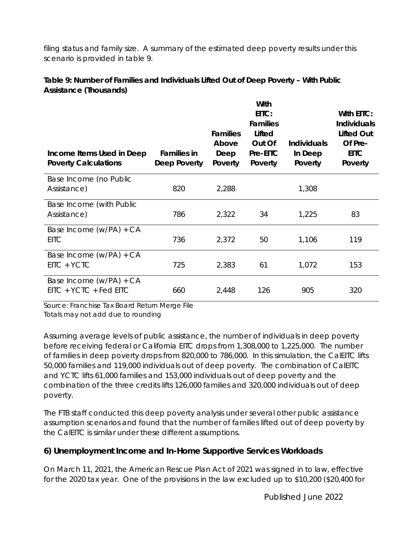filing status and family size. A summary of the estimated deep poverty results under this scenario is provided in table 9.

**Table 9: Number of Families and Individuals Lifted Out of Deep Poverty – With Public Assistance (Thousands)**

| Income Items Used in Deep<br><b>Poverty Calculations</b> | Families in<br>Deep Poverty | Families<br>Above<br>Deep<br>Poverty | With<br>EITC:<br><b>Families</b><br>Lifted<br>Out Of<br>Pre-EITC<br>Poverty | Individuals<br>In Deep<br>Poverty | With EITC:<br>Individuals<br><b>Lifted Out</b><br>Of Pre-<br><b>EITC</b><br>Poverty |
|----------------------------------------------------------|-----------------------------|--------------------------------------|-----------------------------------------------------------------------------|-----------------------------------|-------------------------------------------------------------------------------------|
| Base Income (no Public<br>Assistance)                    | 820                         | 2,288                                |                                                                             | 1,308                             |                                                                                     |
| Base Income (with Public<br>Assistance)                  | 786                         | 2,322                                | 34                                                                          | 1,225                             | 83                                                                                  |
| Base Income (w/PA) + CA<br><b>EITC</b>                   | 736                         | 2,372                                | 50                                                                          | 1,106                             | 119                                                                                 |
| Base Income (w/PA) + CA<br>EITC + YCTC                   | 725                         | 2,383                                | 61                                                                          | 1,072                             | 153                                                                                 |
| Base Income (w/PA) + CA<br>$EITC + YCTC + Fed EITC$      | 660                         | 2,448                                | 126                                                                         | 905                               | 320                                                                                 |

Source: Franchise Tax Board Return Merge File Totals may not add due to rounding

Assuming average levels of public assistance, the number of individuals in deep poverty before receiving federal or California EITC drops from 1,308,000 to 1,225,000. The number of families in deep poverty drops from 820,000 to 786,000. In this simulation, the CalEITC lifts 50,000 families and 119,000 individuals out of deep poverty. The combination of CalEITC and YCTC lifts 61,000 families and 153,000 individuals out of deep poverty and the combination of the three credits lifts 126,000 families and 320,000 individuals out of deep poverty.

The FTB staff conducted this deep poverty analysis under several other public assistance assumption scenarios and found that the number of families lifted out of deep poverty by the CalEITC is similar under these different assumptions.

**6) Unemployment Income and In-Home Supportive Services Workloads**

On March 11, 2021, the American Rescue Plan Act of 2021 was signed in to law, effective for the 2020 tax year. One of the provisions in the law excluded up to \$10,200 (\$20,400 for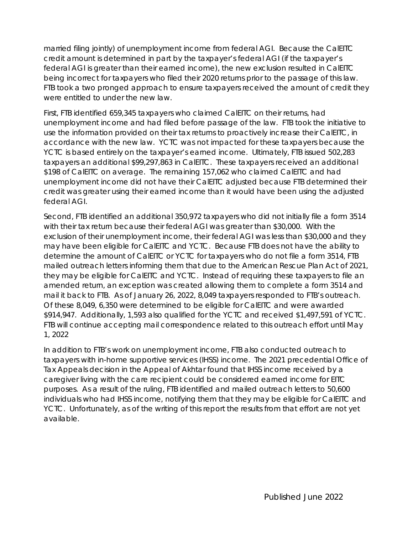married filing jointly) of unemployment income from federal AGI. Because the CalEITC credit amount is determined in part by the taxpayer's federal AGI (if the taxpayer's federal AGI is greater than their earned income), the new exclusion resulted in CalEITC being incorrect for taxpayers who filed their 2020 returns prior to the passage of this law. FTB took a two pronged approach to ensure taxpayers received the amount of credit they were entitled to under the new law.

First, FTB identified 659,345 taxpayers who claimed CalEITC on their returns, had unemployment income and had filed before passage of the law. FTB took the initiative to use the information provided on their tax returns to proactively increase their CalEITC, in accordance with the new law. YCTC was not impacted for these taxpayers because the YCTC is based entirely on the taxpayer's earned income. Ultimately, FTB issued 502,283 taxpayers an additional \$99,297,863 in CalEITC. These taxpayers received an additional \$198 of CalEITC on average. The remaining 157,062 who claimed CalEITC and had unemployment income did not have their CalEITC adjusted because FTB determined their credit was greater using their earned income than it would have been using the adjusted federal AGI.

Second, FTB identified an additional 350,972 taxpayers who did not initially file a form 3514 with their tax return because their federal AGI was greater than \$30,000. With the exclusion of their unemployment income, their federal AGI was less than \$30,000 and they may have been eligible for CalEITC and YCTC. Because FTB does not have the ability to determine the amount of CalEITC or YCTC for taxpayers who do not file a form 3514, FTB mailed outreach letters informing them that due to the American Rescue Plan Act of 2021, they may be eligible for CalEITC and YCTC. Instead of requiring these taxpayers to file an amended return, an exception was created allowing them to complete a form 3514 and mail it back to FTB. As of January 26, 2022, 8,049 taxpayers responded to FTB's outreach. Of these 8,049, 6,350 were determined to be eligible for CalEITC and were awarded \$914,947. Additionally, 1,593 also qualified for the YCTC and received \$1,497,591 of YCTC. FTB will continue accepting mail correspondence related to this outreach effort until May 1, 2022

In addition to FTB's work on unemployment income, FTB also conducted outreach to taxpayers with in-home supportive services (IHSS) income. The 2021 precedential Office of Tax Appeals decision in the Appeal of Akhtar found that IHSS income received by a caregiver living with the care recipient could be considered earned income for EITC purposes. As a result of the ruling, FTB identified and mailed outreach letters to 50,600 individuals who had IHSS income, notifying them that they may be eligible for CalEITC and YCTC. Unfortunately, as of the writing of this report the results from that effort are not yet available.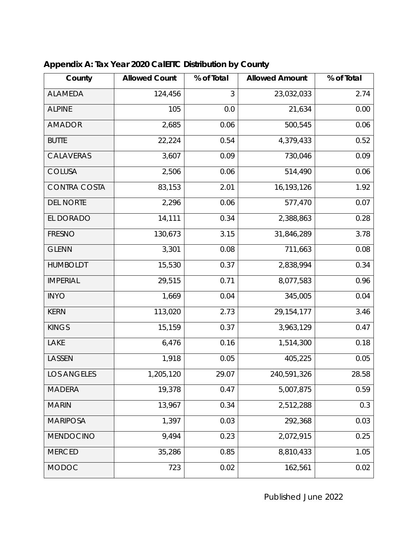| County              | <b>Allowed Count</b> | % of Total | <b>Allowed Amount</b> | % of Total |
|---------------------|----------------------|------------|-----------------------|------------|
| <b>ALAMEDA</b>      | 124,456              | 3          | 23,032,033            | 2.74       |
| <b>ALPINE</b>       | 105                  | 0.0        | 21,634                | 0.00       |
| <b>AMADOR</b>       | 2,685                | 0.06       | 500,545               | 0.06       |
| <b>BUTTE</b>        | 22,224               | 0.54       | 4,379,433             | 0.52       |
| CALAVERAS           | 3,607                | 0.09       | 730,046               | 0.09       |
| <b>COLUSA</b>       | 2,506                | 0.06       | 514,490               | 0.06       |
| <b>CONTRA COSTA</b> | 83,153               | 2.01       | 16,193,126            | 1.92       |
| <b>DEL NORTE</b>    | 2,296                | 0.06       | 577,470               | 0.07       |
| EL DORADO           | 14,111               | 0.34       | 2,388,863             | 0.28       |
| <b>FRESNO</b>       | 130,673              | 3.15       | 31,846,289            | 3.78       |
| <b>GLENN</b>        | 3,301                | 0.08       | 711,663               | 0.08       |
| <b>HUMBOLDT</b>     | 15,530               | 0.37       | 2,838,994             | 0.34       |
| <b>IMPERIAL</b>     | 29,515               | 0.71       | 8,077,583             | 0.96       |
| <b>INYO</b>         | 1,669                | 0.04       | 345,005               | 0.04       |
| <b>KERN</b>         | 113,020              | 2.73       | 29, 154, 177          | 3.46       |
| <b>KINGS</b>        | 15,159               | 0.37       | 3,963,129             | 0.47       |
| LAKE                | 6,476                | 0.16       | 1,514,300             | 0.18       |
| LASSEN              | 1,918                | 0.05       | 405,225               | 0.05       |
| <b>LOS ANGELES</b>  | 1,205,120            | 29.07      | 240,591,326           | 28.58      |
| <b>MADERA</b>       | 19,378               | 0.47       | 5,007,875             | 0.59       |
| <b>MARIN</b>        | 13,967               | 0.34       | 2,512,288             | 0.3        |
| <b>MARIPOSA</b>     | 1,397                | 0.03       | 292,368               | 0.03       |
| <b>MENDOCINO</b>    | 9,494                | 0.23       | 2,072,915             | 0.25       |
| <b>MERCED</b>       | 35,286               | 0.85       | 8,810,433             | 1.05       |
| <b>MODOC</b>        | 723                  | 0.02       | 162,561               | 0.02       |

### **Appendix A: Tax Year 2020 CalEITC Distribution by County**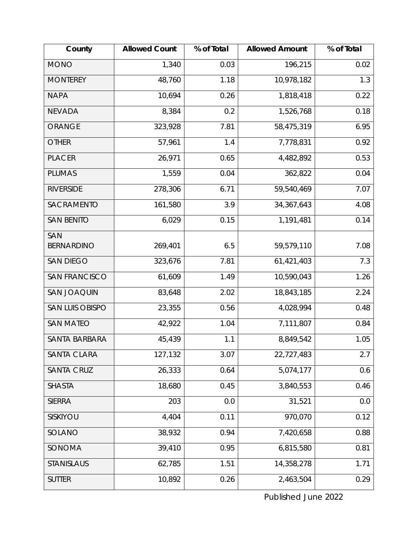| County                 | <b>Allowed Count</b> | % of Total | <b>Allowed Amount</b> | % of Total |
|------------------------|----------------------|------------|-----------------------|------------|
| <b>MONO</b>            | 1,340                | 0.03       | 196,215               | 0.02       |
| <b>MONTEREY</b>        | 48,760               | 1.18       | 10,978,182            | 1.3        |
| <b>NAPA</b>            | 10,694               | 0.26       | 1,818,418             | 0.22       |
| <b>NEVADA</b>          | 8,384                | 0.2        | 1,526,768             | 0.18       |
| <b>ORANGE</b>          | 323,928              | 7.81       | 58,475,319            | 6.95       |
| <b>OTHER</b>           | 57,961               | 1.4        | 7,778,831             | 0.92       |
| <b>PLACER</b>          | 26,971               | 0.65       | 4,482,892             | 0.53       |
| <b>PLUMAS</b>          | 1,559                | 0.04       | 362,822               | 0.04       |
| <b>RIVERSIDE</b>       | 278,306              | 6.71       | 59,540,469            | 7.07       |
| SACRAMENTO             | 161,580              | 3.9        | 34, 367, 643          | 4.08       |
| <b>SAN BENITO</b>      | 6,029                | 0.15       | 1,191,481             | 0.14       |
| SAN                    |                      |            |                       |            |
| <b>BERNARDINO</b>      | 269,401              | 6.5        | 59,579,110            | 7.08       |
| <b>SAN DIEGO</b>       | 323,676              | 7.81       | 61,421,403            | 7.3        |
| <b>SAN FRANCISCO</b>   | 61,609               | 1.49       | 10,590,043            | 1.26       |
| <b>SAN JOAQUIN</b>     | 83,648               | 2.02       | 18,843,185            | 2.24       |
| <b>SAN LUIS OBISPO</b> | 23,355               | 0.56       | 4,028,994             | 0.48       |
| <b>SAN MATEO</b>       | 42,922               | 1.04       | 7,111,807             | 0.84       |
| SANTA BARBARA          | 45,439               | 1.1        | 8,849,542             | 1.05       |
| SANTA CLARA            | 127,132              | 3.07       | 22,727,483            | 2.7        |
| <b>SANTA CRUZ</b>      | 26,333               | 0.64       | 5,074,177             | 0.6        |
| <b>SHASTA</b>          | 18,680               | 0.45       | 3,840,553             | 0.46       |
| <b>SIERRA</b>          | 203                  | 0.0        | 31,521                | 0.0        |
| SISKIYOU               | 4,404                | 0.11       | 970,070               | 0.12       |
| SOLANO                 | 38,932               | 0.94       | 7,420,658             | 0.88       |
| SONOMA                 | 39,410               | 0.95       | 6,815,580             | 0.81       |
| <b>STANISLAUS</b>      | 62,785               | 1.51       | 14,358,278            | 1.71       |
| <b>SUTTER</b>          | 10,892               | 0.26       | 2,463,504             | 0.29       |